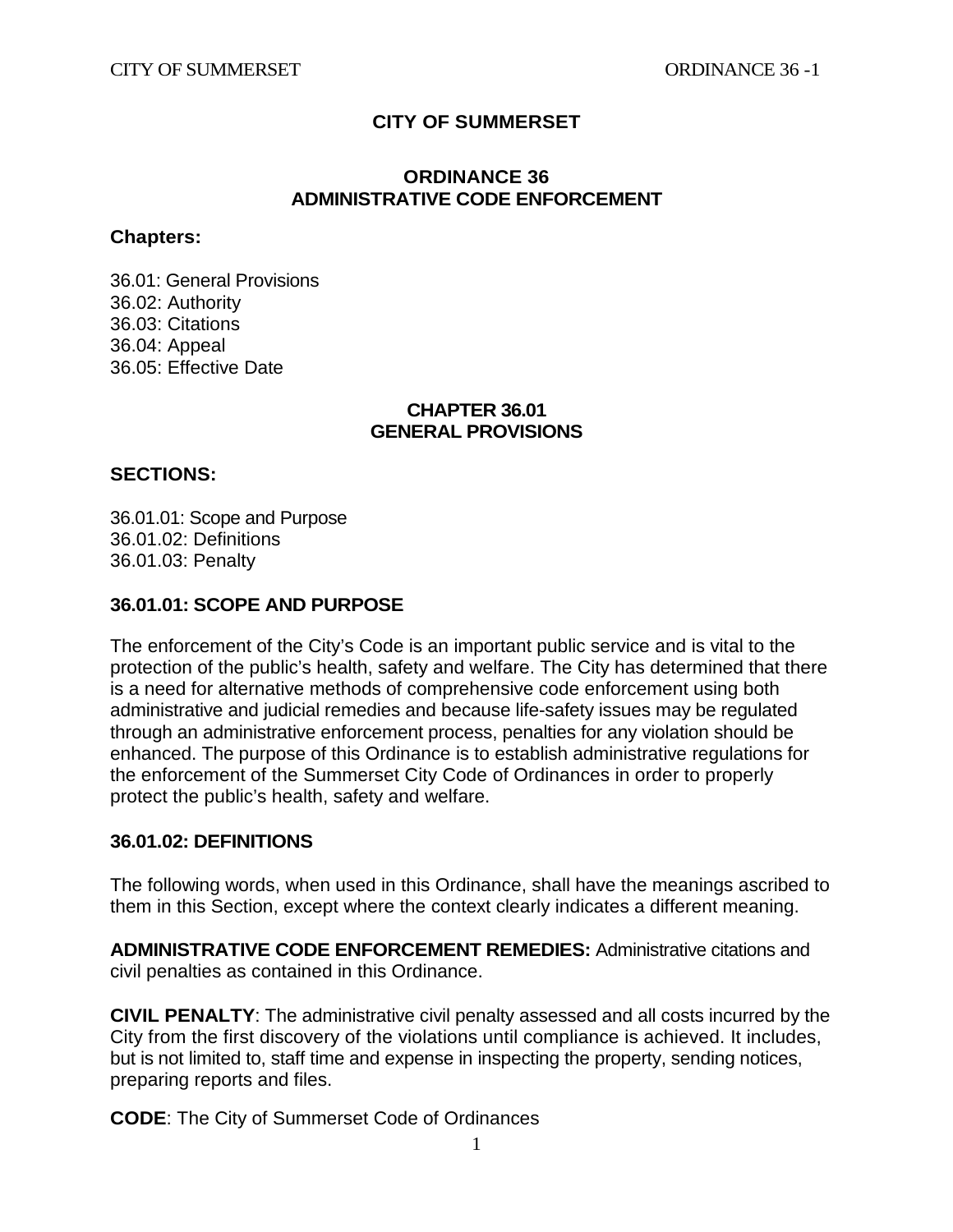## **CITY OF SUMMERSET**

#### **ORDINANCE 36 ADMINISTRATIVE CODE ENFORCEMENT**

#### **Chapters:**

36.01: General Provisions 36.02: Authority 36.03: Citations 36.04: Appeal 36.05: Effective Date

#### **CHAPTER 36.01 GENERAL PROVISIONS**

#### **SECTIONS:**

36.01.01: Scope and Purpose 36.01.02: Definitions 36.01.03: Penalty

#### **36.01.01: SCOPE AND PURPOSE**

The enforcement of the City's Code is an important public service and is vital to the protection of the public's health, safety and welfare. The City has determined that there is a need for alternative methods of comprehensive code enforcement using both administrative and judicial remedies and because life-safety issues may be regulated through an administrative enforcement process, penalties for any violation should be enhanced. The purpose of this Ordinance is to establish administrative regulations for the enforcement of the Summerset City Code of Ordinances in order to properly protect the public's health, safety and welfare.

#### **36.01.02: DEFINITIONS**

The following words, when used in this Ordinance, shall have the meanings ascribed to them in this Section, except where the context clearly indicates a different meaning.

**ADMINISTRATIVE CODE ENFORCEMENT REMEDIES:** Administrative citations and civil penalties as contained in this Ordinance.

**CIVIL PENALTY**: The administrative civil penalty assessed and all costs incurred by the City from the first discovery of the violations until compliance is achieved. It includes, but is not limited to, staff time and expense in inspecting the property, sending notices, preparing reports and files.

**CODE**: The City of Summerset Code of Ordinances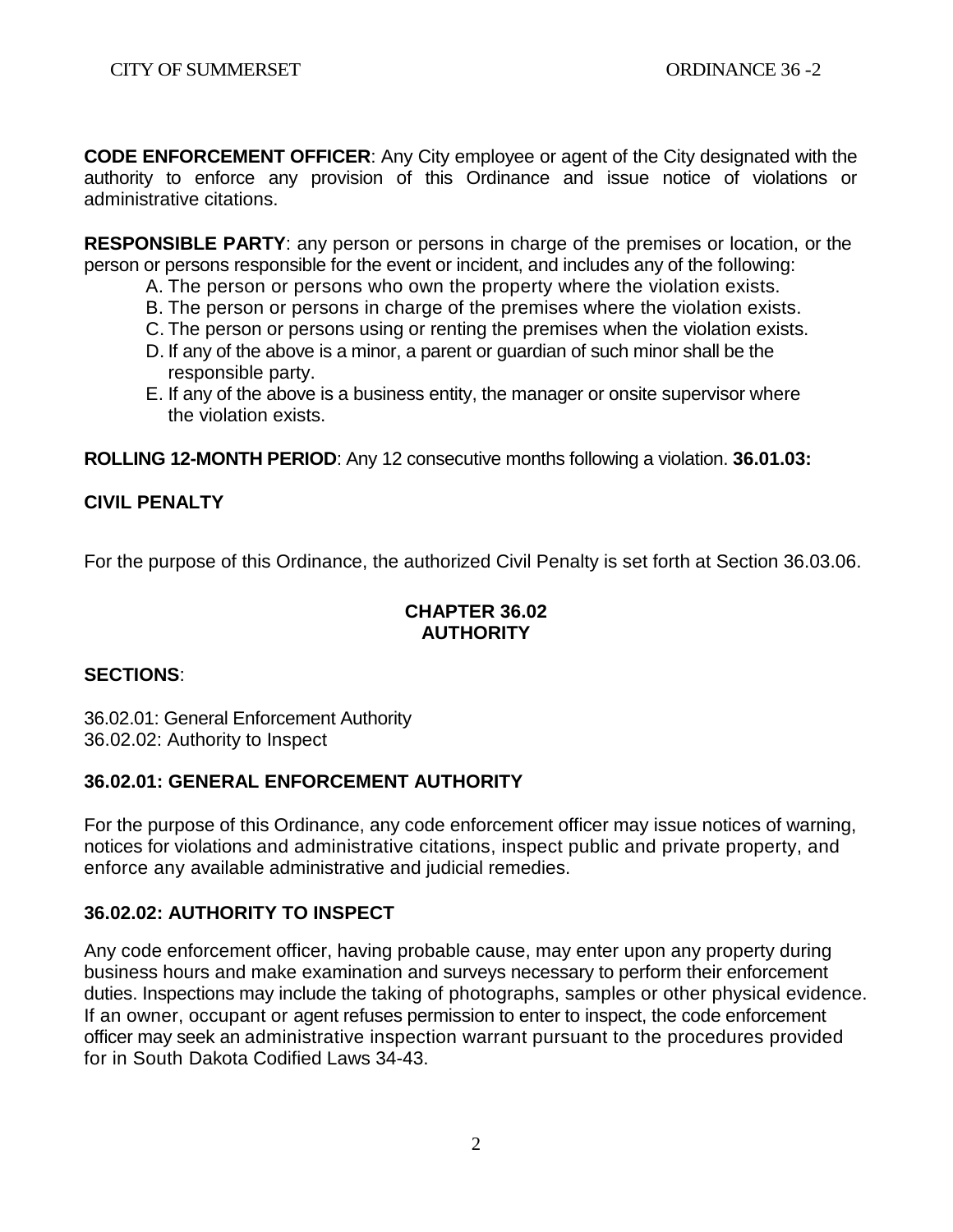**CODE ENFORCEMENT OFFICER**: Any City employee or agent of the City designated with the authority to enforce any provision of this Ordinance and issue notice of violations or administrative citations.

**RESPONSIBLE PARTY**: any person or persons in charge of the premises or location, or the person or persons responsible for the event or incident, and includes any of the following:

- A. The person or persons who own the property where the violation exists.
- B. The person or persons in charge of the premises where the violation exists.
- C. The person or persons using or renting the premises when the violation exists.
- D. If any of the above is a minor, a parent or guardian of such minor shall be the responsible party.
- E. If any of the above is a business entity, the manager or onsite supervisor where the violation exists.

**ROLLING 12-MONTH PERIOD**: Any 12 consecutive months following a violation. **36.01.03:** 

## **CIVIL PENALTY**

For the purpose of this Ordinance, the authorized Civil Penalty is set forth at Section 36.03.06.

## **CHAPTER 36.02 AUTHORITY**

## **SECTIONS**:

36.02.01: General Enforcement Authority 36.02.02: Authority to Inspect

# **36.02.01: GENERAL ENFORCEMENT AUTHORITY**

For the purpose of this Ordinance, any code enforcement officer may issue notices of warning, notices for violations and administrative citations, inspect public and private property, and enforce any available administrative and judicial remedies.

## **36.02.02: AUTHORITY TO INSPECT**

Any code enforcement officer, having probable cause, may enter upon any property during business hours and make examination and surveys necessary to perform their enforcement duties. Inspections may include the taking of photographs, samples or other physical evidence. If an owner, occupant or agent refuses permission to enter to inspect, the code enforcement officer may seek an administrative inspection warrant pursuant to the procedures provided for in South Dakota Codified Laws 34-43.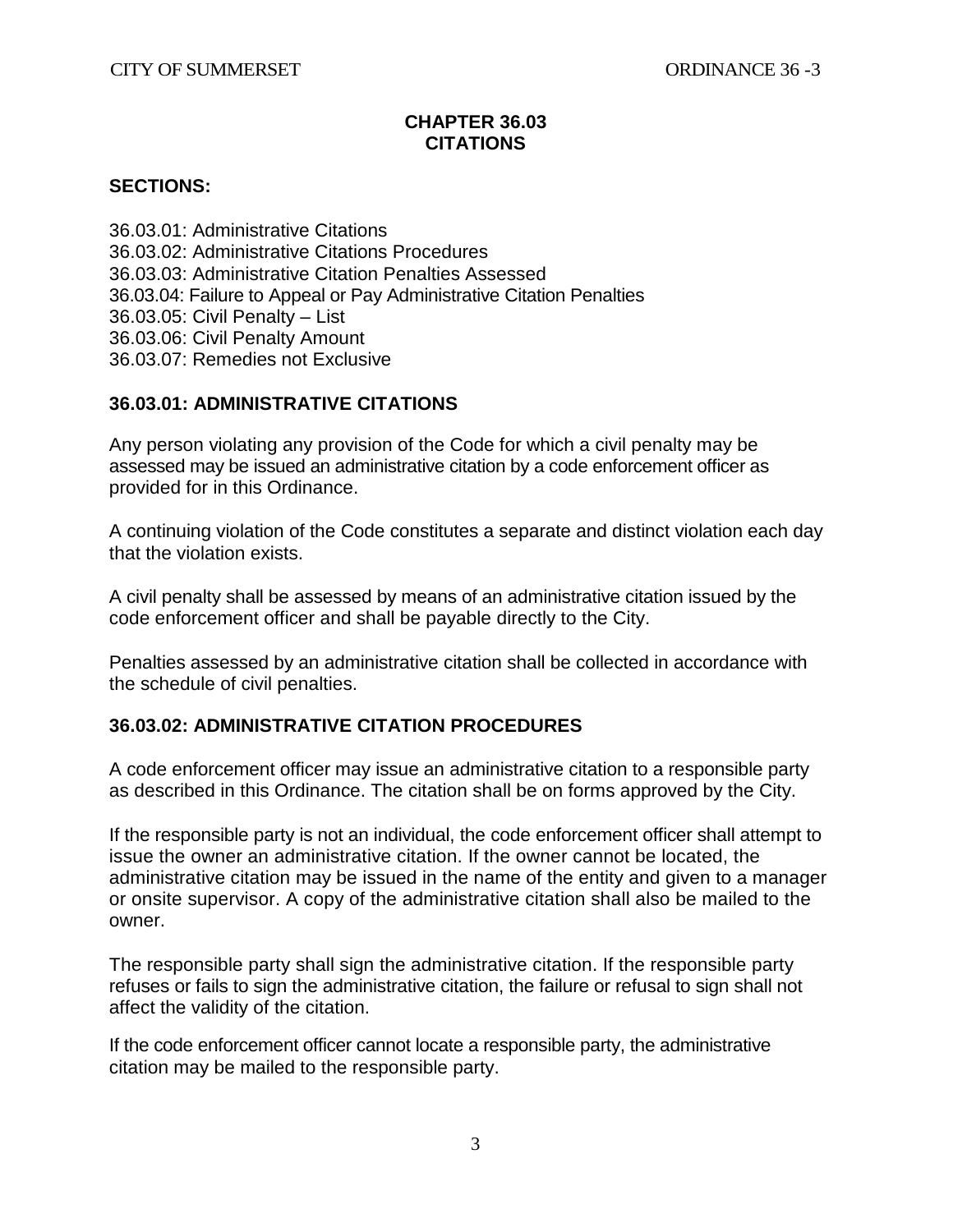### **CHAPTER 36.03 CITATIONS**

### **SECTIONS:**

36.03.01: Administrative Citations 36.03.02: Administrative Citations Procedures 36.03.03: Administrative Citation Penalties Assessed 36.03.04: Failure to Appeal or Pay Administrative Citation Penalties 36.03.05: Civil Penalty – List 36.03.06: Civil Penalty Amount 36.03.07: Remedies not Exclusive

## **36.03.01: ADMINISTRATIVE CITATIONS**

Any person violating any provision of the Code for which a civil penalty may be assessed may be issued an administrative citation by a code enforcement officer as provided for in this Ordinance.

A continuing violation of the Code constitutes a separate and distinct violation each day that the violation exists.

A civil penalty shall be assessed by means of an administrative citation issued by the code enforcement officer and shall be payable directly to the City.

Penalties assessed by an administrative citation shall be collected in accordance with the schedule of civil penalties.

### **36.03.02: ADMINISTRATIVE CITATION PROCEDURES**

A code enforcement officer may issue an administrative citation to a responsible party as described in this Ordinance. The citation shall be on forms approved by the City.

If the responsible party is not an individual, the code enforcement officer shall attempt to issue the owner an administrative citation. If the owner cannot be located, the administrative citation may be issued in the name of the entity and given to a manager or onsite supervisor. A copy of the administrative citation shall also be mailed to the owner.

The responsible party shall sign the administrative citation. If the responsible party refuses or fails to sign the administrative citation, the failure or refusal to sign shall not affect the validity of the citation.

If the code enforcement officer cannot locate a responsible party, the administrative citation may be mailed to the responsible party.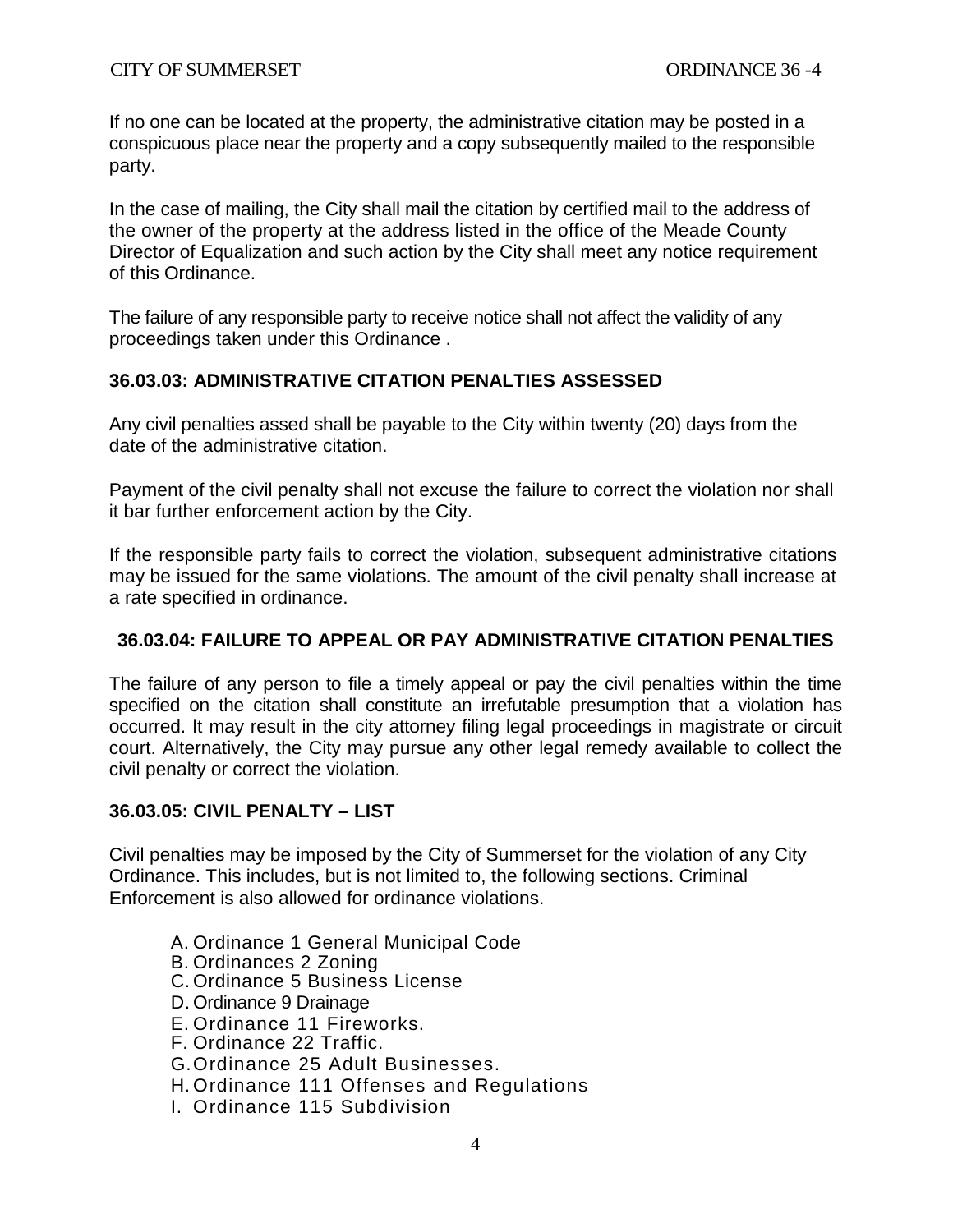If no one can be located at the property, the administrative citation may be posted in a conspicuous place near the property and a copy subsequently mailed to the responsible party.

In the case of mailing, the City shall mail the citation by certified mail to the address of the owner of the property at the address listed in the office of the Meade County Director of Equalization and such action by the City shall meet any notice requirement of this Ordinance.

The failure of any responsible party to receive notice shall not affect the validity of any proceedings taken under this Ordinance .

### **36.03.03: ADMINISTRATIVE CITATION PENALTIES ASSESSED**

Any civil penalties assed shall be payable to the City within twenty (20) days from the date of the administrative citation.

Payment of the civil penalty shall not excuse the failure to correct the violation nor shall it bar further enforcement action by the City.

If the responsible party fails to correct the violation, subsequent administrative citations may be issued for the same violations. The amount of the civil penalty shall increase at a rate specified in ordinance.

### **36.03.04: FAILURE TO APPEAL OR PAY ADMINISTRATIVE CITATION PENALTIES**

The failure of any person to file a timely appeal or pay the civil penalties within the time specified on the citation shall constitute an irrefutable presumption that a violation has occurred. It may result in the city attorney filing legal proceedings in magistrate or circuit court. Alternatively, the City may pursue any other legal remedy available to collect the civil penalty or correct the violation.

### **36.03.05: CIVIL PENALTY – LIST**

Civil penalties may be imposed by the City of Summerset for the violation of any City Ordinance. This includes, but is not limited to, the following sections. Criminal Enforcement is also allowed for ordinance violations.

- A. Ordinance 1 General Municipal Code
- B. Ordinances 2 Zoning
- C. Ordinance 5 Business License
- D. Ordinance 9 Drainage
- E. Ordinance 11 Fireworks.
- F. Ordinance 22 Traffic.
- G.Ordinance 25 Adult Businesses.
- H. Ordinance 111 Offenses and Regulations
- I. Ordinance 115 Subdivision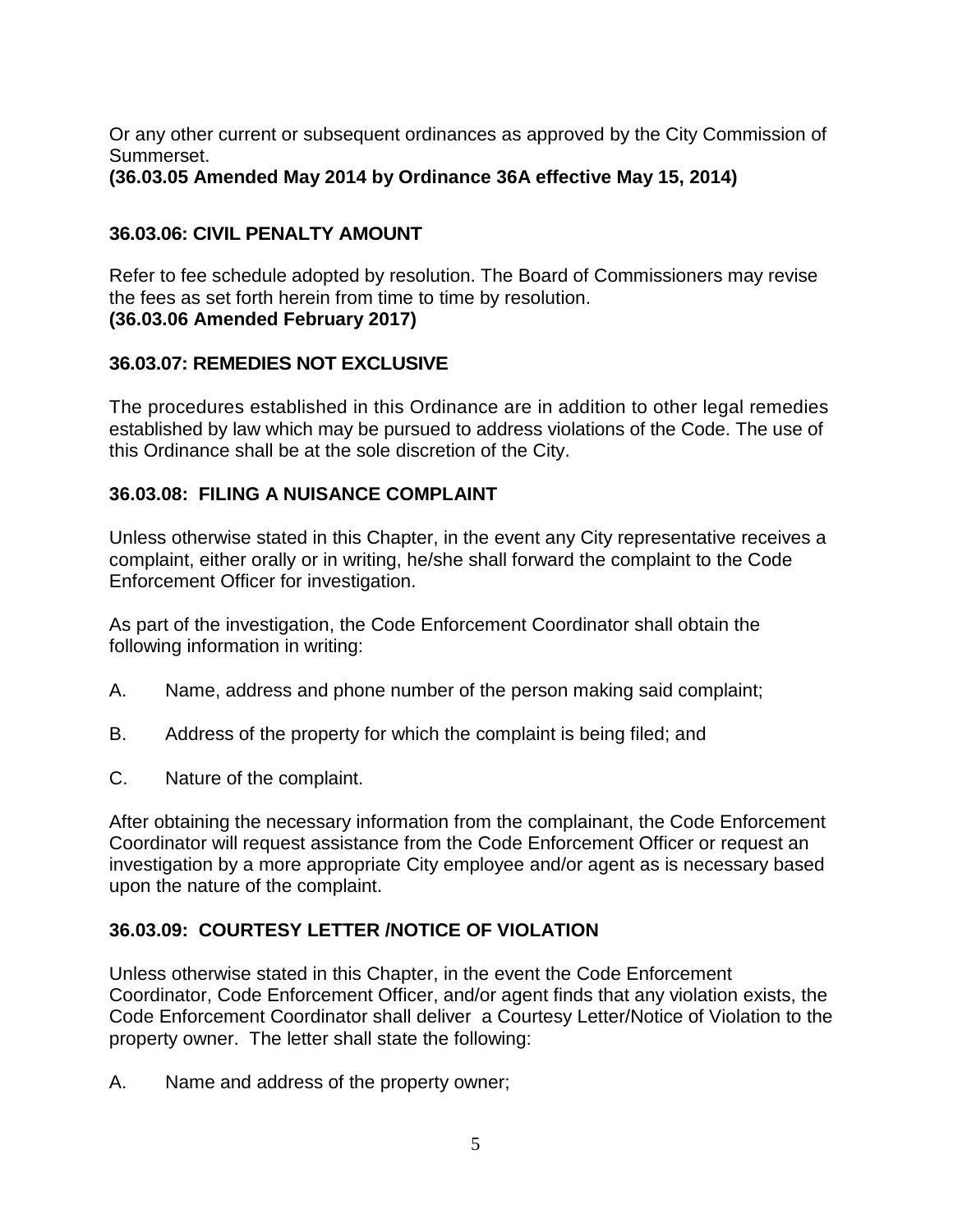Or any other current or subsequent ordinances as approved by the City Commission of Summerset.

**(36.03.05 Amended May 2014 by Ordinance 36A effective May 15, 2014)** 

# **36.03.06: CIVIL PENALTY AMOUNT**

Refer to fee schedule adopted by resolution. The Board of Commissioners may revise the fees as set forth herein from time to time by resolution. **(36.03.06 Amended February 2017)**

# **36.03.07: REMEDIES NOT EXCLUSIVE**

The procedures established in this Ordinance are in addition to other legal remedies established by law which may be pursued to address violations of the Code. The use of this Ordinance shall be at the sole discretion of the City.

# **36.03.08: FILING A NUISANCE COMPLAINT**

Unless otherwise stated in this Chapter, in the event any City representative receives a complaint, either orally or in writing, he/she shall forward the complaint to the Code Enforcement Officer for investigation.

As part of the investigation, the Code Enforcement Coordinator shall obtain the following information in writing:

- A. Name, address and phone number of the person making said complaint;
- B. Address of the property for which the complaint is being filed; and
- C. Nature of the complaint.

After obtaining the necessary information from the complainant, the Code Enforcement Coordinator will request assistance from the Code Enforcement Officer or request an investigation by a more appropriate City employee and/or agent as is necessary based upon the nature of the complaint.

# **36.03.09: COURTESY LETTER /NOTICE OF VIOLATION**

Unless otherwise stated in this Chapter, in the event the Code Enforcement Coordinator, Code Enforcement Officer, and/or agent finds that any violation exists, the Code Enforcement Coordinator shall deliver a Courtesy Letter/Notice of Violation to the property owner. The letter shall state the following:

A. Name and address of the property owner;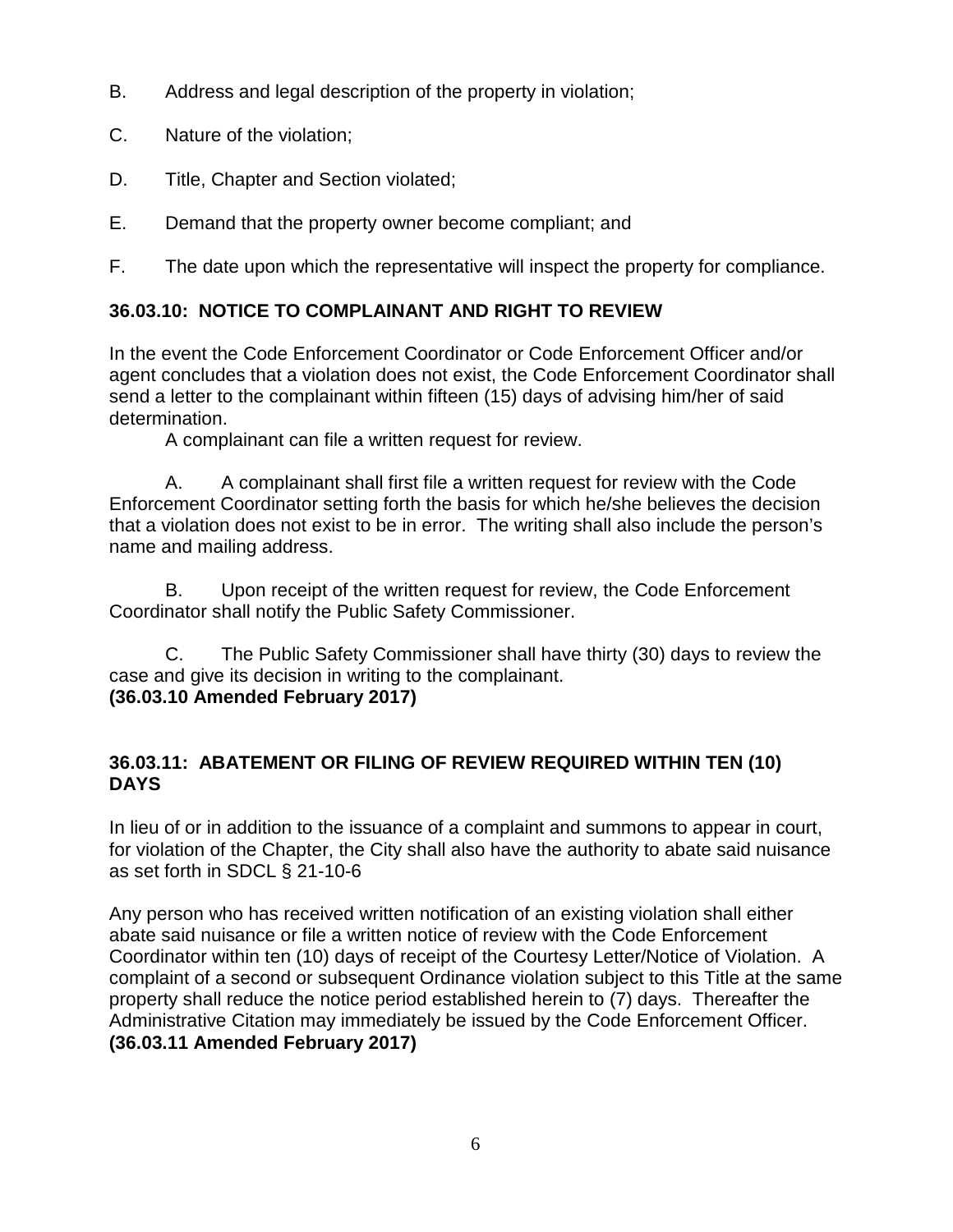- B. Address and legal description of the property in violation;
- C. Nature of the violation;
- D. Title, Chapter and Section violated;
- E. Demand that the property owner become compliant; and

F. The date upon which the representative will inspect the property for compliance.

# **36.03.10: NOTICE TO COMPLAINANT AND RIGHT TO REVIEW**

In the event the Code Enforcement Coordinator or Code Enforcement Officer and/or agent concludes that a violation does not exist, the Code Enforcement Coordinator shall send a letter to the complainant within fifteen (15) days of advising him/her of said determination.

A complainant can file a written request for review.

A. A complainant shall first file a written request for review with the Code Enforcement Coordinator setting forth the basis for which he/she believes the decision that a violation does not exist to be in error. The writing shall also include the person's name and mailing address.

B. Upon receipt of the written request for review, the Code Enforcement Coordinator shall notify the Public Safety Commissioner.

C. The Public Safety Commissioner shall have thirty (30) days to review the case and give its decision in writing to the complainant. **(36.03.10 Amended February 2017)**

# **36.03.11: ABATEMENT OR FILING OF REVIEW REQUIRED WITHIN TEN (10) DAYS**

In lieu of or in addition to the issuance of a complaint and summons to appear in court, for violation of the Chapter, the City shall also have the authority to abate said nuisance as set forth in SDCL § 21-10-6

Any person who has received written notification of an existing violation shall either abate said nuisance or file a written notice of review with the Code Enforcement Coordinator within ten (10) days of receipt of the Courtesy Letter/Notice of Violation. A complaint of a second or subsequent Ordinance violation subject to this Title at the same property shall reduce the notice period established herein to (7) days. Thereafter the Administrative Citation may immediately be issued by the Code Enforcement Officer. **(36.03.11 Amended February 2017)**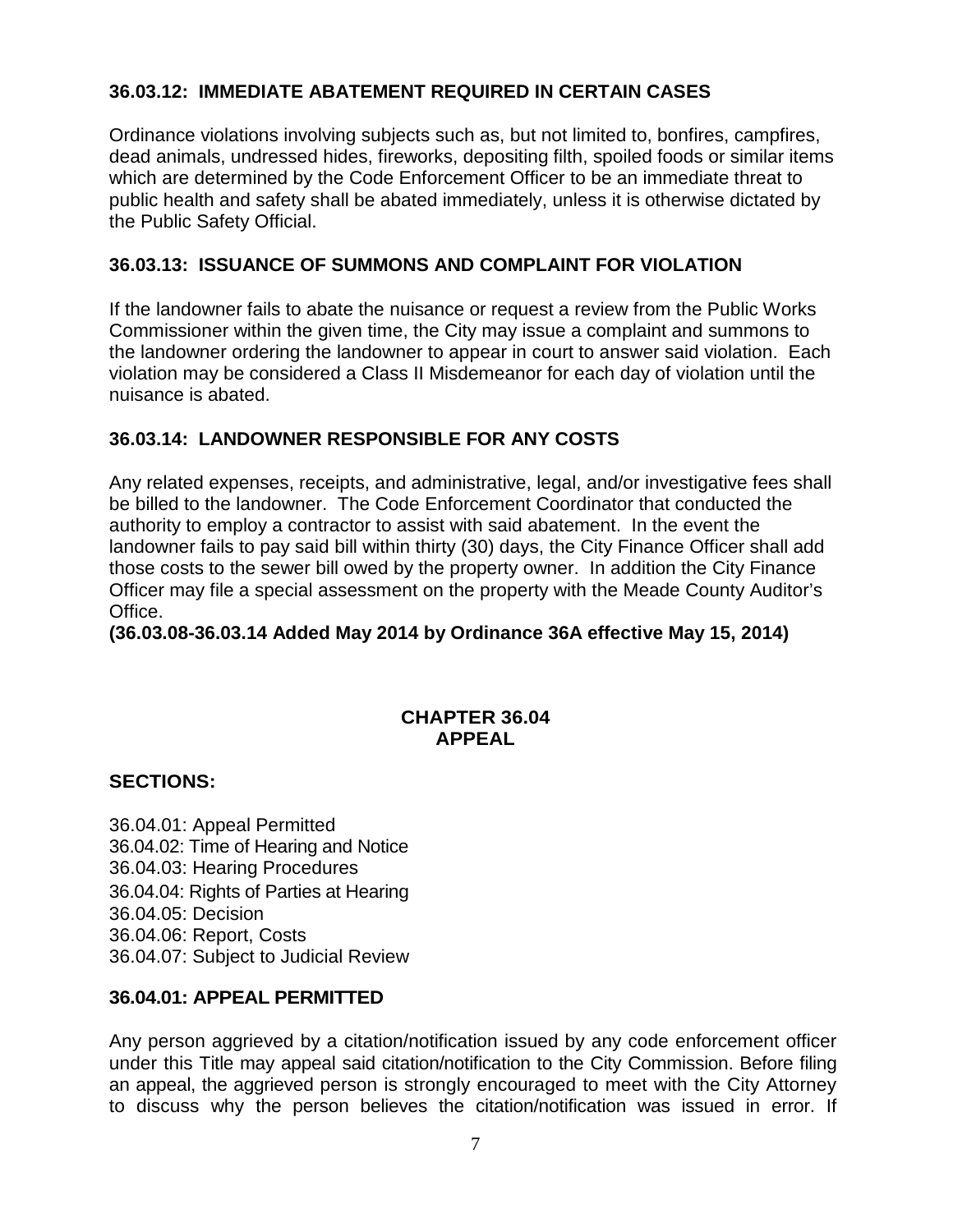## **36.03.12: IMMEDIATE ABATEMENT REQUIRED IN CERTAIN CASES**

Ordinance violations involving subjects such as, but not limited to, bonfires, campfires, dead animals, undressed hides, fireworks, depositing filth, spoiled foods or similar items which are determined by the Code Enforcement Officer to be an immediate threat to public health and safety shall be abated immediately, unless it is otherwise dictated by the Public Safety Official.

## **36.03.13: ISSUANCE OF SUMMONS AND COMPLAINT FOR VIOLATION**

If the landowner fails to abate the nuisance or request a review from the Public Works Commissioner within the given time, the City may issue a complaint and summons to the landowner ordering the landowner to appear in court to answer said violation. Each violation may be considered a Class II Misdemeanor for each day of violation until the nuisance is abated.

# **36.03.14: LANDOWNER RESPONSIBLE FOR ANY COSTS**

Any related expenses, receipts, and administrative, legal, and/or investigative fees shall be billed to the landowner. The Code Enforcement Coordinator that conducted the authority to employ a contractor to assist with said abatement. In the event the landowner fails to pay said bill within thirty (30) days, the City Finance Officer shall add those costs to the sewer bill owed by the property owner. In addition the City Finance Officer may file a special assessment on the property with the Meade County Auditor's Office.

**(36.03.08-36.03.14 Added May 2014 by Ordinance 36A effective May 15, 2014)** 

### **CHAPTER 36.04 APPEAL**

## **SECTIONS:**

36.04.01: Appeal Permitted 36.04.02: Time of Hearing and Notice 36.04.03: Hearing Procedures 36.04.04: Rights of Parties at Hearing 36.04.05: Decision 36.04.06: Report, Costs 36.04.07: Subject to Judicial Review

## **36.04.01: APPEAL PERMITTED**

Any person aggrieved by a citation/notification issued by any code enforcement officer under this Title may appeal said citation/notification to the City Commission. Before filing an appeal, the aggrieved person is strongly encouraged to meet with the City Attorney to discuss why the person believes the citation/notification was issued in error. If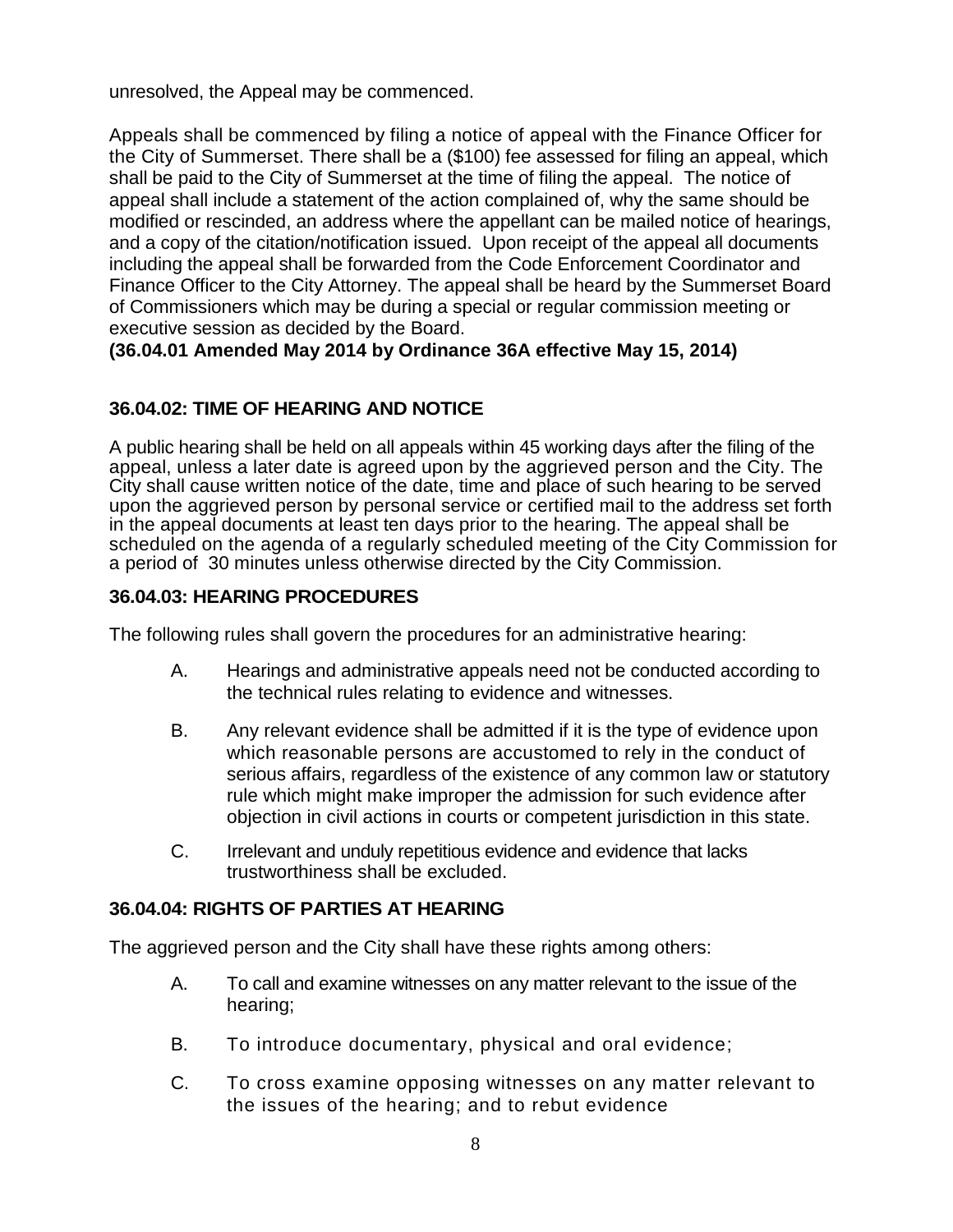unresolved, the Appeal may be commenced.

Appeals shall be commenced by filing a notice of appeal with the Finance Officer for the City of Summerset. There shall be a (\$100) fee assessed for filing an appeal, which shall be paid to the City of Summerset at the time of filing the appeal. The notice of appeal shall include a statement of the action complained of, why the same should be modified or rescinded, an address where the appellant can be mailed notice of hearings, and a copy of the citation/notification issued. Upon receipt of the appeal all documents including the appeal shall be forwarded from the Code Enforcement Coordinator and Finance Officer to the City Attorney. The appeal shall be heard by the Summerset Board of Commissioners which may be during a special or regular commission meeting or executive session as decided by the Board.

**(36.04.01 Amended May 2014 by Ordinance 36A effective May 15, 2014)** 

# **36.04.02: TIME OF HEARING AND NOTICE**

A public hearing shall be held on all appeals within 45 working days after the filing of the appeal, unless a later date is agreed upon by the aggrieved person and the City. The City shall cause written notice of the date, time and place of such hearing to be served upon the aggrieved person by personal service or certified mail to the address set forth in the appeal documents at least ten days prior to the hearing. The appeal shall be scheduled on the agenda of a regularly scheduled meeting of the City Commission for a period of 30 minutes unless otherwise directed by the City Commission.

# **36.04.03: HEARING PROCEDURES**

The following rules shall govern the procedures for an administrative hearing:

- A. Hearings and administrative appeals need not be conducted according to the technical rules relating to evidence and witnesses.
- B. Any relevant evidence shall be admitted if it is the type of evidence upon which reasonable persons are accustomed to rely in the conduct of serious affairs, regardless of the existence of any common law or statutory rule which might make improper the admission for such evidence after objection in civil actions in courts or competent jurisdiction in this state.
- C. Irrelevant and unduly repetitious evidence and evidence that lacks trustworthiness shall be excluded.

## **36.04.04: RIGHTS OF PARTIES AT HEARING**

The aggrieved person and the City shall have these rights among others:

- A. To call and examine witnesses on any matter relevant to the issue of the hearing;
- B. To introduce documentary, physical and oral evidence;
- C. To cross examine opposing witnesses on any matter relevant to the issues of the hearing; and to rebut evidence